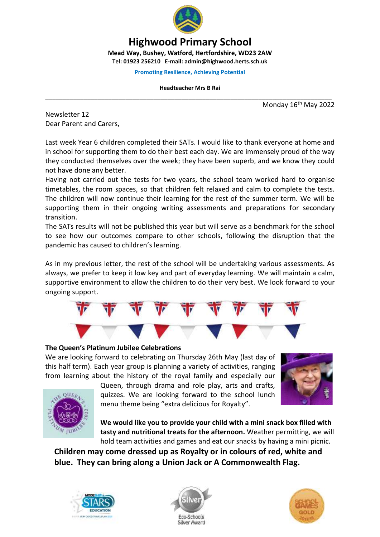

# **Highwood Primary School**

**Mead Way, Bushey, Watford, Hertfordshire, WD23 2AW Tel: 01923 256210 E-mail: admin@highwood.herts.sch.uk**

**Promoting Resilience, Achieving Potential**

**Headteacher Mrs B Rai** \_\_\_\_\_\_\_\_\_\_\_\_\_\_\_\_\_\_\_\_\_\_\_\_\_\_\_\_\_\_\_\_\_\_\_\_\_\_\_\_\_\_\_\_\_\_\_\_\_\_\_\_\_\_\_\_\_\_\_\_\_\_\_\_\_\_\_\_\_\_\_\_\_\_\_\_\_\_\_\_\_\_

Monday 16<sup>th</sup> May 2022

Newsletter 12 Dear Parent and Carers,

Last week Year 6 children completed their SATs. I would like to thank everyone at home and in school for supporting them to do their best each day. We are immensely proud of the way they conducted themselves over the week; they have been superb, and we know they could not have done any better.

Having not carried out the tests for two years, the school team worked hard to organise timetables, the room spaces, so that children felt relaxed and calm to complete the tests. The children will now continue their learning for the rest of the summer term. We will be supporting them in their ongoing writing assessments and preparations for secondary transition.

The SATs results will not be published this year but will serve as a benchmark for the school to see how our outcomes compare to other schools, following the disruption that the pandemic has caused to children's learning.

As in my previous letter, the rest of the school will be undertaking various assessments. As always, we prefer to keep it low key and part of everyday learning. We will maintain a calm, supportive environment to allow the children to do their very best. We look forward to your ongoing support.



#### **The Queen's Platinum Jubilee Celebrations**

We are looking forward to celebrating on Thursday 26th May (last day of this half term). Each year group is planning a variety of activities, ranging from learning about the history of the royal family and especially our





Queen, through drama and role play, arts and crafts, quizzes. We are looking forward to the school lunch menu theme being "extra delicious for Royalty".

**We would like you to provide your child with a mini snack box filled with tasty and nutritional treats for the afternoon.** Weather permitting, we will hold team activities and games and eat our snacks by having a mini picnic.

**Children may come dressed up as Royalty or in colours of red, white and blue. They can bring along a Union Jack or A Commonwealth Flag.**





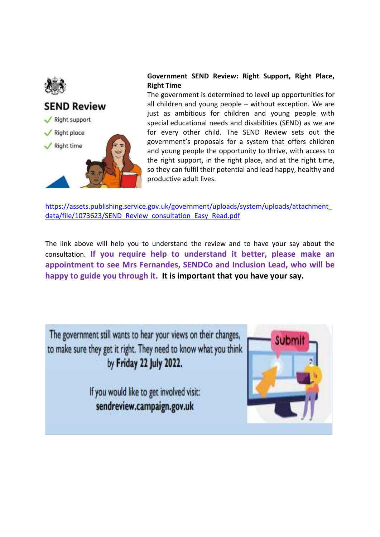



### **Government SEND Review: Right Support, Right Place, Right Time**

The government is determined to level up opportunities for all children and young people – without exception. We are just as ambitious for children and young people with special educational needs and disabilities (SEND) as we are for every other child. The SEND Review sets out the government's proposals for a system that offers children and young people the opportunity to thrive, with access to the right support, in the right place, and at the right time, so they can fulfil their potential and lead happy, healthy and productive adult lives.

[https://assets.publishing.service.gov.uk/government/uploads/system/uploads/attachment\\_](https://assets.publishing.service.gov.uk/government/uploads/system/uploads/attachment_data/file/1073623/SEND_Review_consultation_Easy_Read.pdf) [data/file/1073623/SEND\\_Review\\_consultation\\_Easy\\_Read.pdf](https://assets.publishing.service.gov.uk/government/uploads/system/uploads/attachment_data/file/1073623/SEND_Review_consultation_Easy_Read.pdf)

The link above will help you to understand the review and to have your say about the consultation. **If you require help to understand it better, please make an appointment to see Mrs Fernandes, SENDCo and Inclusion Lead, who will be happy to guide you through it. It is important that you have your say.**

The government still wants to hear your views on their changes, to make sure they get it right. They need to know what you think by Friday 22 July 2022.

> If you would like to get involved visit: sendreview.campaign.gov.uk

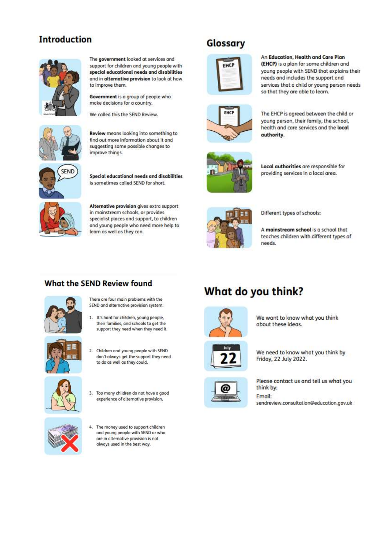# **Introduction**



The government looked at services and support for children and young people with special educational needs and disabilities and in alternative provision to look at how to improve them.

Government is a group of people who make decisions for a country.

We called this the SEND Review.



Review means looking into something to find out more information about it and suggesting some possible changes to improve things.



Special educational needs and disabilities is sometimes called SEND for short.

Alternative provision gives extra support in mainstream schools, or provides specialist places and support, to children and young people who need more help to learn as well as they can.



EHC

Local authorities are responsible for providing services in a local area.



Different types of schools:

A mainstream school is a school that teaches children with different types of needs.

### **What the SEND Review found**



There are four main problems with the SEND and alternative provision system:

1. It's hard for children, young people, their families, and schools to get the support they need when they need it.



2. Children and young people with SEND don't always get the support they need to do as well as they could.







4. The money used to support children and young people with SEND or who are in alternative provision is not always used in the best way.

# What do you think?



We want to know what you think about these ideas.



We need to know what you think by Friday, 22 July 2022.



Please contact us and tell us what you think by: Email: sendreview.consultation@education.gov.uk

# Glossary



The EHCP is agreed between the child or young person, their family, the school, health and care services and the local authority.

An Education, Health and Care Plan

needs and includes the support and

so that they are able to learn.

(EHCP) is a plan for some children and

young people with SEND that explains their

services that a child or young person needs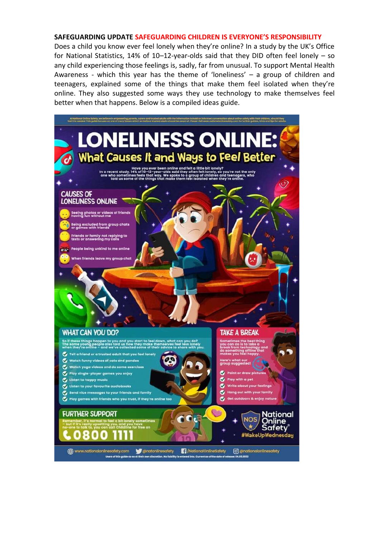#### **SAFEGUARDING UPDATE SAFEGUARDING CHILDREN IS EVERYONE'S RESPONSIBILITY**

Does a child you know ever feel lonely when they're online? In a study by the UK's Office for National Statistics, 14% of 10–12-year-olds said that they DID often feel lonely – so any child experiencing those feelings is, sadly, far from unusual. To support Mental Health Awareness - which this year has the theme of 'loneliness' – a group of children and teenagers, explained some of the things that make them feel isolated when they're online. They also suggested some ways they use technology to make themselves feel better when that happens. Below is a compiled ideas guide.

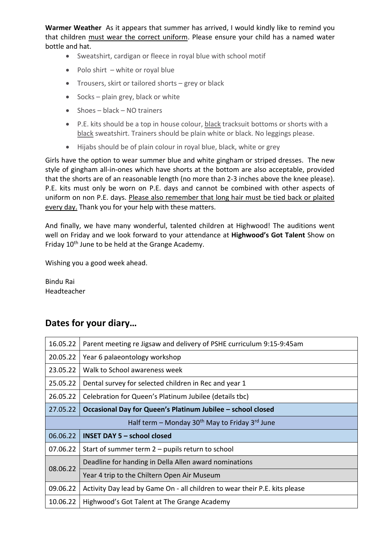**Warmer Weather** As it appears that summer has arrived, I would kindly like to remind you that children must wear the correct uniform. Please ensure your child has a named water bottle and hat.

- Sweatshirt, cardigan or fleece in royal blue with school motif
- $\bullet$  Polo shirt white or royal blue
- Trousers, skirt or tailored shorts grey or black
- $\bullet$  Socks plain grey, black or white
- Shoes black NO trainers
- P.E. kits should be a top in house colour, black tracksuit bottoms or shorts with a black sweatshirt. Trainers should be plain white or black. No leggings please.
- Hijabs should be of plain colour in royal blue, black, white or grey

Girls have the option to wear summer blue and white gingham or striped dresses. The new style of gingham all-in-ones which have shorts at the bottom are also acceptable, provided that the shorts are of an reasonable length (no more than 2-3 inches above the knee please). P.E. kits must only be worn on P.E. days and cannot be combined with other aspects of uniform on non P.E. days. Please also remember that long hair must be tied back or plaited every day. Thank you for your help with these matters.

And finally, we have many wonderful, talented children at Highwood! The auditions went well on Friday and we look forward to your attendance at **Highwood's Got Talent** Show on Friday 10<sup>th</sup> June to be held at the Grange Academy.

Wishing you a good week ahead.

Bindu Rai Headteacher

## **Dates for your diary…**

| 16.05.22                                                     | Parent meeting re Jigsaw and delivery of PSHE curriculum 9:15-9:45am       |
|--------------------------------------------------------------|----------------------------------------------------------------------------|
| 20.05.22                                                     | Year 6 palaeontology workshop                                              |
| 23.05.22                                                     | Walk to School awareness week                                              |
| 25.05.22                                                     | Dental survey for selected children in Rec and year 1                      |
| 26.05.22                                                     | Celebration for Queen's Platinum Jubilee (details tbc)                     |
| 27.05.22                                                     | Occasional Day for Queen's Platinum Jubilee - school closed                |
| Half term – Monday $30th$ May to Friday 3 <sup>rd</sup> June |                                                                            |
| 06.06.22                                                     | <b>INSET DAY 5 - school closed</b>                                         |
| 07.06.22                                                     | Start of summer term 2 – pupils return to school                           |
| 08.06.22                                                     | Deadline for handing in Della Allen award nominations                      |
|                                                              | Year 4 trip to the Chiltern Open Air Museum                                |
| 09.06.22                                                     | Activity Day lead by Game On - all children to wear their P.E. kits please |
| 10.06.22                                                     | Highwood's Got Talent at The Grange Academy                                |